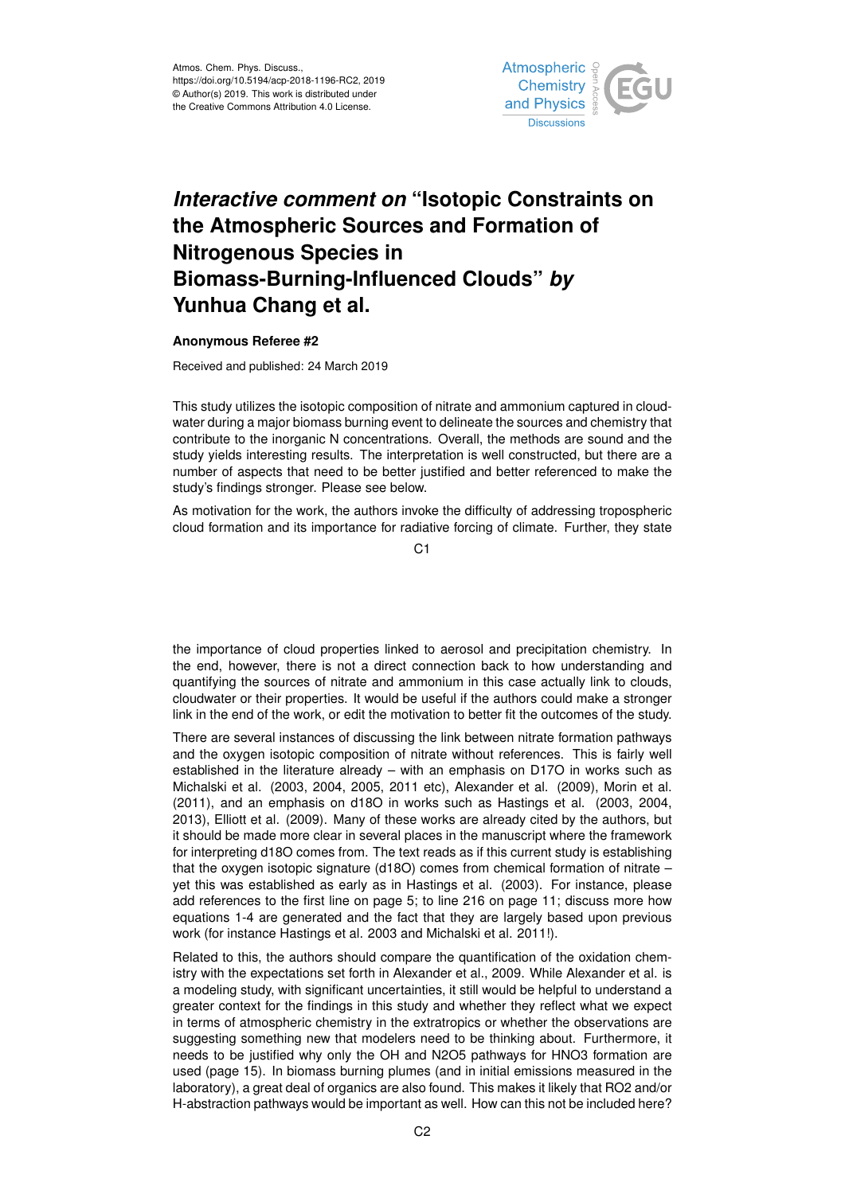

## *Interactive comment on* **"Isotopic Constraints on the Atmospheric Sources and Formation of Nitrogenous Species in Biomass-Burning-Influenced Clouds"** *by* **Yunhua Chang et al.**

## **Anonymous Referee #2**

Received and published: 24 March 2019

This study utilizes the isotopic composition of nitrate and ammonium captured in cloudwater during a major biomass burning event to delineate the sources and chemistry that contribute to the inorganic N concentrations. Overall, the methods are sound and the study yields interesting results. The interpretation is well constructed, but there are a number of aspects that need to be better justified and better referenced to make the study's findings stronger. Please see below.

As motivation for the work, the authors invoke the difficulty of addressing tropospheric cloud formation and its importance for radiative forcing of climate. Further, they state

C1

the importance of cloud properties linked to aerosol and precipitation chemistry. In the end, however, there is not a direct connection back to how understanding and quantifying the sources of nitrate and ammonium in this case actually link to clouds, cloudwater or their properties. It would be useful if the authors could make a stronger link in the end of the work, or edit the motivation to better fit the outcomes of the study.

There are several instances of discussing the link between nitrate formation pathways and the oxygen isotopic composition of nitrate without references. This is fairly well established in the literature already – with an emphasis on D17O in works such as Michalski et al. (2003, 2004, 2005, 2011 etc), Alexander et al. (2009), Morin et al. (2011), and an emphasis on d18O in works such as Hastings et al. (2003, 2004, 2013), Elliott et al. (2009). Many of these works are already cited by the authors, but it should be made more clear in several places in the manuscript where the framework for interpreting d18O comes from. The text reads as if this current study is establishing that the oxygen isotopic signature (d18O) comes from chemical formation of nitrate – yet this was established as early as in Hastings et al. (2003). For instance, please add references to the first line on page 5; to line 216 on page 11; discuss more how equations 1-4 are generated and the fact that they are largely based upon previous work (for instance Hastings et al. 2003 and Michalski et al. 2011!).

Related to this, the authors should compare the quantification of the oxidation chemistry with the expectations set forth in Alexander et al., 2009. While Alexander et al. is a modeling study, with significant uncertainties, it still would be helpful to understand a greater context for the findings in this study and whether they reflect what we expect in terms of atmospheric chemistry in the extratropics or whether the observations are suggesting something new that modelers need to be thinking about. Furthermore, it needs to be justified why only the OH and N2O5 pathways for HNO3 formation are used (page 15). In biomass burning plumes (and in initial emissions measured in the laboratory), a great deal of organics are also found. This makes it likely that RO2 and/or H-abstraction pathways would be important as well. How can this not be included here?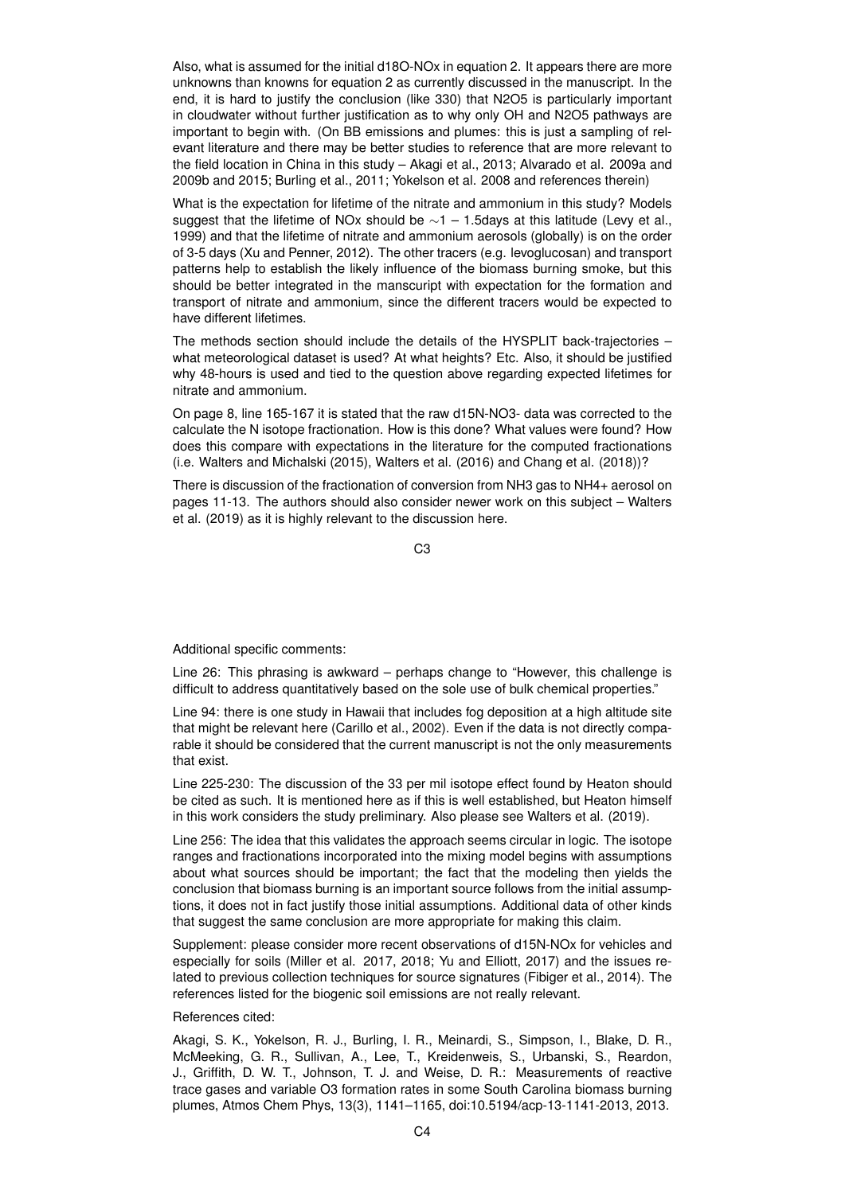Also, what is assumed for the initial d18O-NOx in equation 2. It appears there are more unknowns than knowns for equation 2 as currently discussed in the manuscript. In the end, it is hard to justify the conclusion (like 330) that N2O5 is particularly important in cloudwater without further justification as to why only OH and N2O5 pathways are important to begin with. (On BB emissions and plumes: this is just a sampling of relevant literature and there may be better studies to reference that are more relevant to the field location in China in this study – Akagi et al., 2013; Alvarado et al. 2009a and 2009b and 2015; Burling et al., 2011; Yokelson et al. 2008 and references therein)

What is the expectation for lifetime of the nitrate and ammonium in this study? Models suggest that the lifetime of NOx should be  $\sim$ 1 – 1.5days at this latitude (Levy et al., 1999) and that the lifetime of nitrate and ammonium aerosols (globally) is on the order of 3-5 days (Xu and Penner, 2012). The other tracers (e.g. levoglucosan) and transport patterns help to establish the likely influence of the biomass burning smoke, but this should be better integrated in the manscuript with expectation for the formation and transport of nitrate and ammonium, since the different tracers would be expected to have different lifetimes.

The methods section should include the details of the HYSPLIT back-trajectories – what meteorological dataset is used? At what heights? Etc. Also, it should be justified why 48-hours is used and tied to the question above regarding expected lifetimes for nitrate and ammonium.

On page 8, line 165-167 it is stated that the raw d15N-NO3- data was corrected to the calculate the N isotope fractionation. How is this done? What values were found? How does this compare with expectations in the literature for the computed fractionations (i.e. Walters and Michalski (2015), Walters et al. (2016) and Chang et al. (2018))?

There is discussion of the fractionation of conversion from NH3 gas to NH4+ aerosol on pages 11-13. The authors should also consider newer work on this subject – Walters et al. (2019) as it is highly relevant to the discussion here.

C3

Additional specific comments:

Line 26: This phrasing is awkward – perhaps change to "However, this challenge is difficult to address quantitatively based on the sole use of bulk chemical properties."

Line 94: there is one study in Hawaii that includes fog deposition at a high altitude site that might be relevant here (Carillo et al., 2002). Even if the data is not directly comparable it should be considered that the current manuscript is not the only measurements that exist.

Line 225-230: The discussion of the 33 per mil isotope effect found by Heaton should be cited as such. It is mentioned here as if this is well established, but Heaton himself in this work considers the study preliminary. Also please see Walters et al. (2019).

Line 256: The idea that this validates the approach seems circular in logic. The isotope ranges and fractionations incorporated into the mixing model begins with assumptions about what sources should be important; the fact that the modeling then yields the conclusion that biomass burning is an important source follows from the initial assumptions, it does not in fact justify those initial assumptions. Additional data of other kinds that suggest the same conclusion are more appropriate for making this claim.

Supplement: please consider more recent observations of d15N-NOx for vehicles and especially for soils (Miller et al. 2017, 2018; Yu and Elliott, 2017) and the issues related to previous collection techniques for source signatures (Fibiger et al., 2014). The references listed for the biogenic soil emissions are not really relevant.

## References cited:

Akagi, S. K., Yokelson, R. J., Burling, I. R., Meinardi, S., Simpson, I., Blake, D. R., McMeeking, G. R., Sullivan, A., Lee, T., Kreidenweis, S., Urbanski, S., Reardon, J., Griffith, D. W. T., Johnson, T. J. and Weise, D. R.: Measurements of reactive trace gases and variable O3 formation rates in some South Carolina biomass burning plumes, Atmos Chem Phys, 13(3), 1141–1165, doi:10.5194/acp-13-1141-2013, 2013.